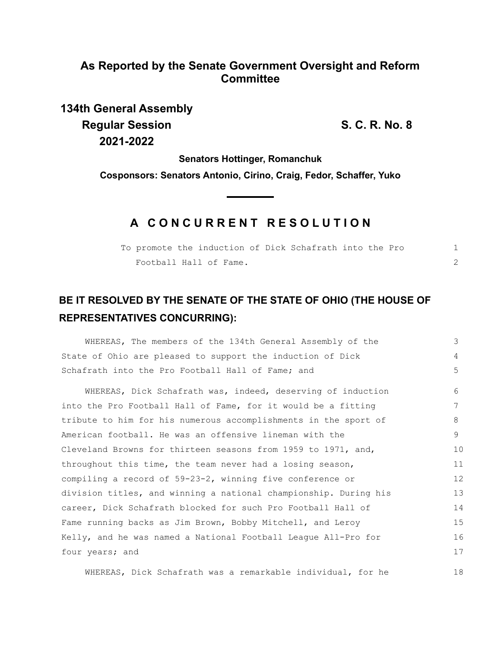### **As Reported by the Senate Government Oversight and Reform Committee**

# **134th General Assembly Regular Session S. C. R. No. 8 2021-2022**

18

**Senators Hottinger, Romanchuk**

**Cosponsors: Senators Antonio, Cirino, Craig, Fedor, Schaffer, Yuko**

## **A C O N C U R R E N T R E S O L U T I O N**

| To promote the induction of Dick Schafrath into the Pro |  |  |  |  |  |
|---------------------------------------------------------|--|--|--|--|--|
| Football Hall of Fame.                                  |  |  |  |  |  |

## **BE IT RESOLVED BY THE SENATE OF THE STATE OF OHIO (THE HOUSE OF REPRESENTATIVES CONCURRING):**

| WHEREAS, The members of the 134th General Assembly of the        | 3                 |  |  |  |  |  |
|------------------------------------------------------------------|-------------------|--|--|--|--|--|
| State of Ohio are pleased to support the induction of Dick       | 4                 |  |  |  |  |  |
| Schafrath into the Pro Football Hall of Fame; and                |                   |  |  |  |  |  |
| WHEREAS, Dick Schafrath was, indeed, deserving of induction      | 6                 |  |  |  |  |  |
| into the Pro Football Hall of Fame, for it would be a fitting    | 7                 |  |  |  |  |  |
| tribute to him for his numerous accomplishments in the sport of  | 8                 |  |  |  |  |  |
| American football. He was an offensive lineman with the          | 9                 |  |  |  |  |  |
| Cleveland Browns for thirteen seasons from 1959 to 1971, and,    | 10                |  |  |  |  |  |
| throughout this time, the team never had a losing season,        | 11                |  |  |  |  |  |
| compiling a record of $59-23-2$ , winning five conference or     | $12 \overline{ }$ |  |  |  |  |  |
| division titles, and winning a national championship. During his | 13                |  |  |  |  |  |
| career, Dick Schafrath blocked for such Pro Football Hall of     |                   |  |  |  |  |  |
| Fame running backs as Jim Brown, Bobby Mitchell, and Leroy       |                   |  |  |  |  |  |
| Kelly, and he was named a National Football League All-Pro for   |                   |  |  |  |  |  |
| four years; and                                                  |                   |  |  |  |  |  |
|                                                                  |                   |  |  |  |  |  |

WHEREAS, Dick Schafrath was a remarkable individual, for he